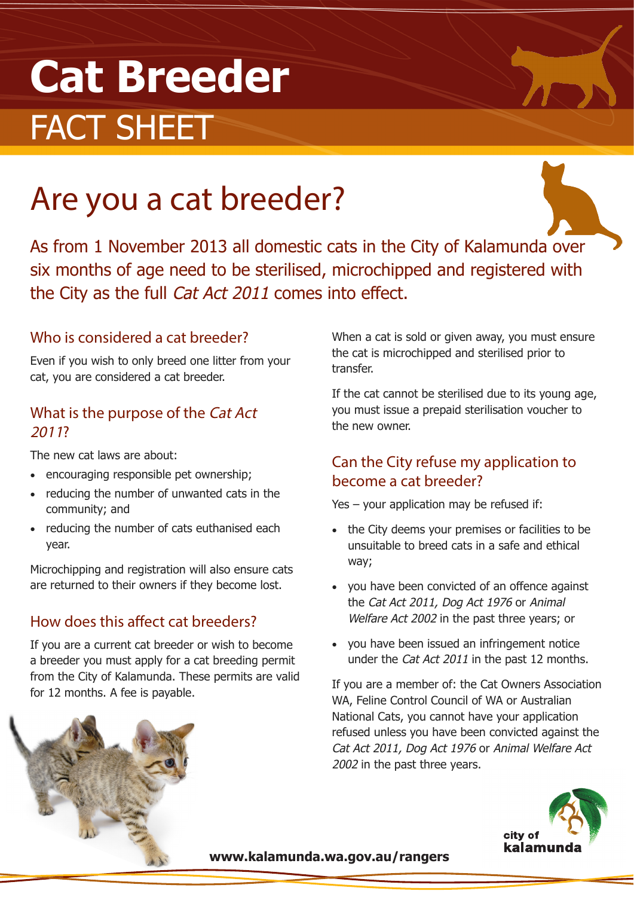# **Cat Breeder** FACT SHEET

## Are you a cat breeder?

As from 1 November 2013 all domestic cats in the City of Kalamunda over six months of age need to be sterilised, microchipped and registered with the City as the full Cat Act 2011 comes into effect.

#### Who is considered a cat breeder?

Even if you wish to only breed one litter from your cat, you are considered a cat breeder.

#### What is the purpose of the Cat Act <sup>2011</sup>?

The new cat laws are about:

- encouraging responsible pet ownership;
- reducing the number of unwanted cats in the community; and
- reducing the number of cats euthanised each year.

Microchipping and registration will also ensure cats are returned to their owners if they become lost.

#### How does this affect cat breeders?

If you are a current cat breeder or wish to become a breeder you must apply for a cat breeding permit from the City of Kalamunda. These permits are valid for 12 months. A fee is payable.

When a cat is sold or given away, you must ensure the cat is microchipped and sterilised prior to transfer.

If the cat cannot be sterilised due to its young age, you must issue a prepaid sterilisation voucher to the new owner.

#### Can the City refuse my application to become a cat breeder?

Yes – your application may be refused if:

- the City deems your premises or facilities to be unsuitable to breed cats in a safe and ethical way;
- • you have been convicted of an offence against the Cat Act 2011, Dog Act 1976 or Animal Welfare Act 2002 in the past three years; or
- • you have been issued an infringement notice under the Cat Act 2011 in the past 12 months.

If you are a member of: the Cat Owners Association WA, Feline Control Council of WA or Australian National Cats, you cannot have your application refused unless you have been convicted against the Cat Act 2011, Dog Act 1976 or Animal Welfare Act 2002 in the past three years.



**www.kalamunda.wa.gov.au/rangers**